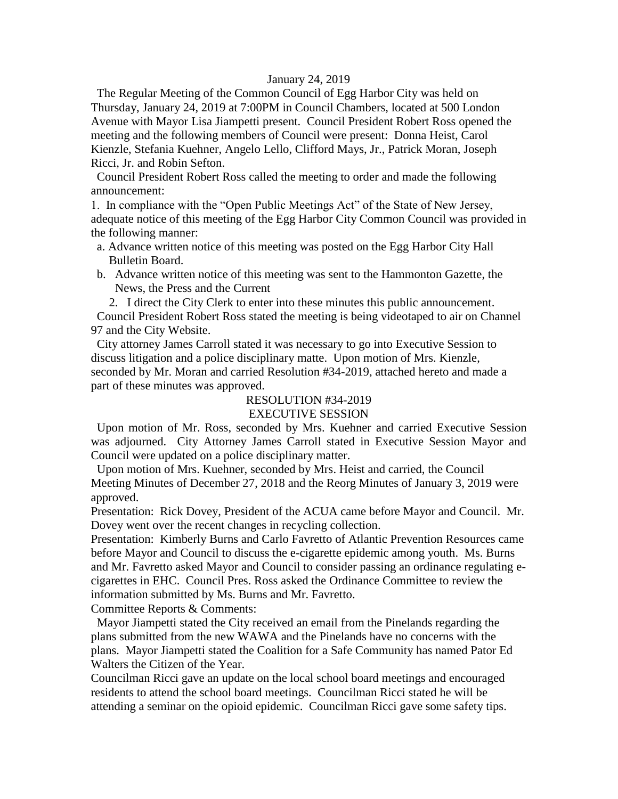#### January 24, 2019

 The Regular Meeting of the Common Council of Egg Harbor City was held on Thursday, January 24, 2019 at 7:00PM in Council Chambers, located at 500 London Avenue with Mayor Lisa Jiampetti present. Council President Robert Ross opened the meeting and the following members of Council were present: Donna Heist, Carol Kienzle, Stefania Kuehner, Angelo Lello, Clifford Mays, Jr., Patrick Moran, Joseph Ricci, Jr. and Robin Sefton.

 Council President Robert Ross called the meeting to order and made the following announcement:

1. In compliance with the "Open Public Meetings Act" of the State of New Jersey, adequate notice of this meeting of the Egg Harbor City Common Council was provided in the following manner:

- a. Advance written notice of this meeting was posted on the Egg Harbor City Hall Bulletin Board.
- b. Advance written notice of this meeting was sent to the Hammonton Gazette, the News, the Press and the Current

2. I direct the City Clerk to enter into these minutes this public announcement. Council President Robert Ross stated the meeting is being videotaped to air on Channel 97 and the City Website.

 City attorney James Carroll stated it was necessary to go into Executive Session to discuss litigation and a police disciplinary matte. Upon motion of Mrs. Kienzle, seconded by Mr. Moran and carried Resolution #34-2019, attached hereto and made a part of these minutes was approved.

## RESOLUTION #34-2019 EXECUTIVE SESSION

 Upon motion of Mr. Ross, seconded by Mrs. Kuehner and carried Executive Session was adjourned. City Attorney James Carroll stated in Executive Session Mayor and Council were updated on a police disciplinary matter.

 Upon motion of Mrs. Kuehner, seconded by Mrs. Heist and carried, the Council Meeting Minutes of December 27, 2018 and the Reorg Minutes of January 3, 2019 were approved.

Presentation: Rick Dovey, President of the ACUA came before Mayor and Council. Mr. Dovey went over the recent changes in recycling collection.

Presentation: Kimberly Burns and Carlo Favretto of Atlantic Prevention Resources came before Mayor and Council to discuss the e-cigarette epidemic among youth. Ms. Burns and Mr. Favretto asked Mayor and Council to consider passing an ordinance regulating ecigarettes in EHC. Council Pres. Ross asked the Ordinance Committee to review the information submitted by Ms. Burns and Mr. Favretto.

Committee Reports & Comments:

 Mayor Jiampetti stated the City received an email from the Pinelands regarding the plans submitted from the new WAWA and the Pinelands have no concerns with the plans. Mayor Jiampetti stated the Coalition for a Safe Community has named Pator Ed Walters the Citizen of the Year.

Councilman Ricci gave an update on the local school board meetings and encouraged residents to attend the school board meetings. Councilman Ricci stated he will be attending a seminar on the opioid epidemic. Councilman Ricci gave some safety tips.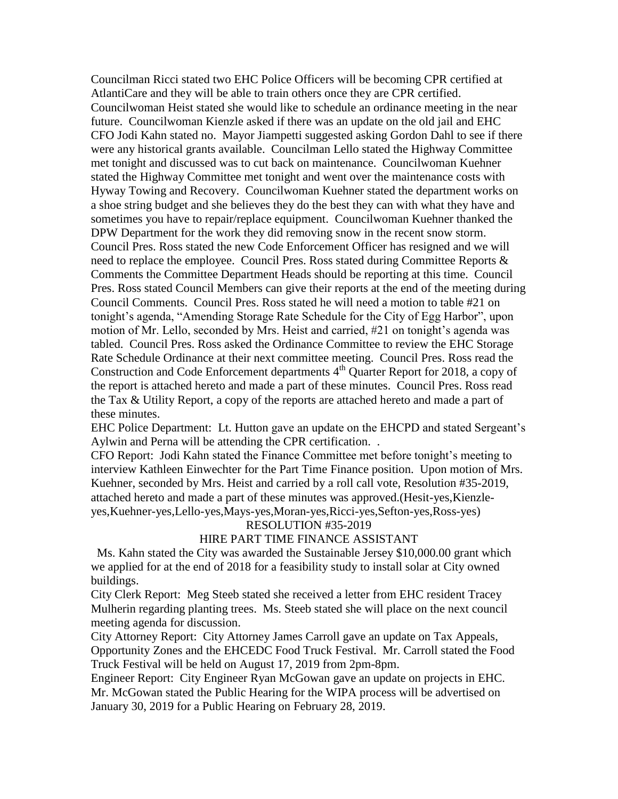Councilman Ricci stated two EHC Police Officers will be becoming CPR certified at AtlantiCare and they will be able to train others once they are CPR certified. Councilwoman Heist stated she would like to schedule an ordinance meeting in the near future. Councilwoman Kienzle asked if there was an update on the old jail and EHC CFO Jodi Kahn stated no. Mayor Jiampetti suggested asking Gordon Dahl to see if there were any historical grants available. Councilman Lello stated the Highway Committee met tonight and discussed was to cut back on maintenance. Councilwoman Kuehner stated the Highway Committee met tonight and went over the maintenance costs with Hyway Towing and Recovery. Councilwoman Kuehner stated the department works on a shoe string budget and she believes they do the best they can with what they have and sometimes you have to repair/replace equipment. Councilwoman Kuehner thanked the DPW Department for the work they did removing snow in the recent snow storm. Council Pres. Ross stated the new Code Enforcement Officer has resigned and we will need to replace the employee. Council Pres. Ross stated during Committee Reports & Comments the Committee Department Heads should be reporting at this time. Council Pres. Ross stated Council Members can give their reports at the end of the meeting during Council Comments. Council Pres. Ross stated he will need a motion to table #21 on tonight's agenda, "Amending Storage Rate Schedule for the City of Egg Harbor", upon motion of Mr. Lello, seconded by Mrs. Heist and carried, #21 on tonight's agenda was tabled. Council Pres. Ross asked the Ordinance Committee to review the EHC Storage Rate Schedule Ordinance at their next committee meeting. Council Pres. Ross read the Construction and Code Enforcement departments  $4<sup>th</sup>$  Quarter Report for 2018, a copy of the report is attached hereto and made a part of these minutes. Council Pres. Ross read the Tax & Utility Report, a copy of the reports are attached hereto and made a part of these minutes.

EHC Police Department: Lt. Hutton gave an update on the EHCPD and stated Sergeant's Aylwin and Perna will be attending the CPR certification. .

CFO Report: Jodi Kahn stated the Finance Committee met before tonight's meeting to interview Kathleen Einwechter for the Part Time Finance position. Upon motion of Mrs. Kuehner, seconded by Mrs. Heist and carried by a roll call vote, Resolution #35-2019, attached hereto and made a part of these minutes was approved.(Hesit-yes,Kienzleyes,Kuehner-yes,Lello-yes,Mays-yes,Moran-yes,Ricci-yes,Sefton-yes,Ross-yes)

RESOLUTION #35-2019

### HIRE PART TIME FINANCE ASSISTANT

 Ms. Kahn stated the City was awarded the Sustainable Jersey \$10,000.00 grant which we applied for at the end of 2018 for a feasibility study to install solar at City owned buildings.

City Clerk Report: Meg Steeb stated she received a letter from EHC resident Tracey Mulherin regarding planting trees. Ms. Steeb stated she will place on the next council meeting agenda for discussion.

City Attorney Report: City Attorney James Carroll gave an update on Tax Appeals, Opportunity Zones and the EHCEDC Food Truck Festival. Mr. Carroll stated the Food Truck Festival will be held on August 17, 2019 from 2pm-8pm.

Engineer Report: City Engineer Ryan McGowan gave an update on projects in EHC. Mr. McGowan stated the Public Hearing for the WIPA process will be advertised on January 30, 2019 for a Public Hearing on February 28, 2019.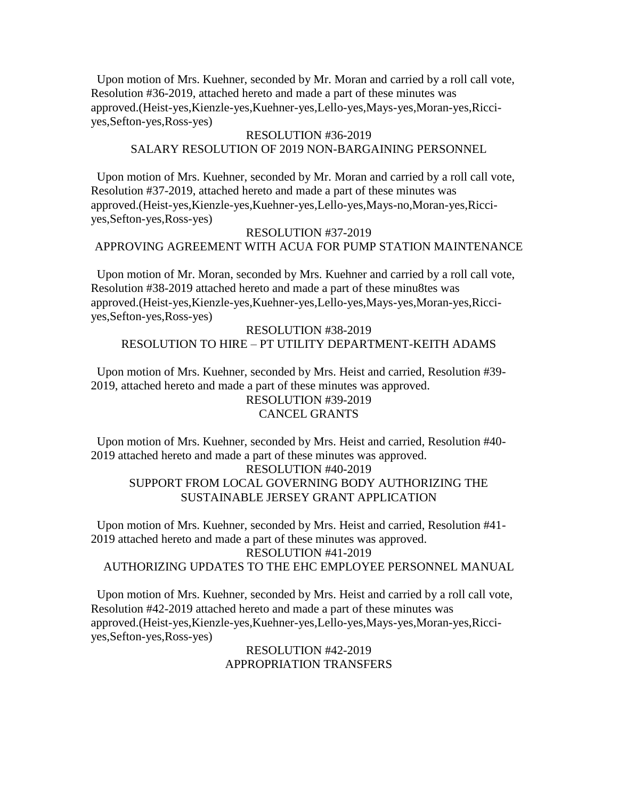Upon motion of Mrs. Kuehner, seconded by Mr. Moran and carried by a roll call vote, Resolution #36-2019, attached hereto and made a part of these minutes was approved.(Heist-yes,Kienzle-yes,Kuehner-yes,Lello-yes,Mays-yes,Moran-yes,Ricciyes,Sefton-yes,Ross-yes)

# RESOLUTION #36-2019 SALARY RESOLUTION OF 2019 NON-BARGAINING PERSONNEL

 Upon motion of Mrs. Kuehner, seconded by Mr. Moran and carried by a roll call vote, Resolution #37-2019, attached hereto and made a part of these minutes was approved.(Heist-yes,Kienzle-yes,Kuehner-yes,Lello-yes,Mays-no,Moran-yes,Ricciyes,Sefton-yes,Ross-yes)

# RESOLUTION #37-2019 APPROVING AGREEMENT WITH ACUA FOR PUMP STATION MAINTENANCE

 Upon motion of Mr. Moran, seconded by Mrs. Kuehner and carried by a roll call vote, Resolution #38-2019 attached hereto and made a part of these minu8tes was approved.(Heist-yes,Kienzle-yes,Kuehner-yes,Lello-yes,Mays-yes,Moran-yes,Ricciyes,Sefton-yes,Ross-yes)

## RESOLUTION #38-2019 RESOLUTION TO HIRE – PT UTILITY DEPARTMENT-KEITH ADAMS

 Upon motion of Mrs. Kuehner, seconded by Mrs. Heist and carried, Resolution #39- 2019, attached hereto and made a part of these minutes was approved. RESOLUTION #39-2019

# CANCEL GRANTS

 Upon motion of Mrs. Kuehner, seconded by Mrs. Heist and carried, Resolution #40- 2019 attached hereto and made a part of these minutes was approved.

# RESOLUTION #40-2019

# SUPPORT FROM LOCAL GOVERNING BODY AUTHORIZING THE SUSTAINABLE JERSEY GRANT APPLICATION

 Upon motion of Mrs. Kuehner, seconded by Mrs. Heist and carried, Resolution #41- 2019 attached hereto and made a part of these minutes was approved. RESOLUTION #41-2019 AUTHORIZING UPDATES TO THE EHC EMPLOYEE PERSONNEL MANUAL

 Upon motion of Mrs. Kuehner, seconded by Mrs. Heist and carried by a roll call vote, Resolution #42-2019 attached hereto and made a part of these minutes was approved.(Heist-yes,Kienzle-yes,Kuehner-yes,Lello-yes,Mays-yes,Moran-yes,Ricciyes,Sefton-yes,Ross-yes)

> RESOLUTION #42-2019 APPROPRIATION TRANSFERS